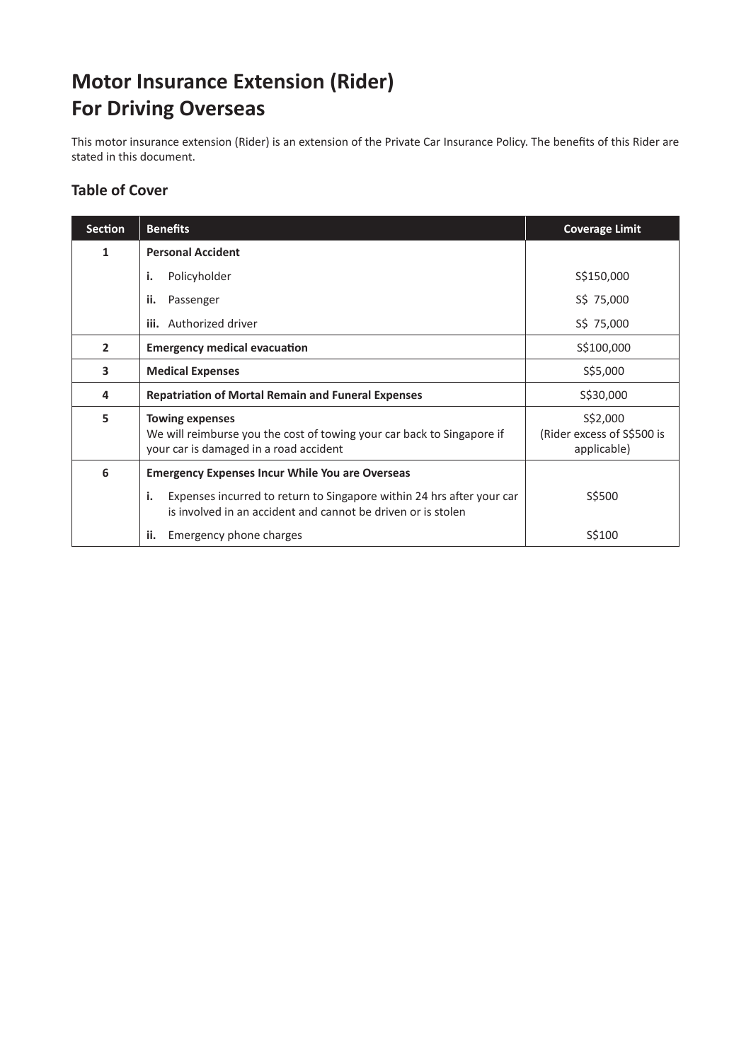# **Motor Insurance Extension (Rider) For Driving Overseas**

This motor insurance extension (Rider) is an extension of the Private Car Insurance Policy. The benefits of this Rider are stated in this document.

# **Table of Cover**

| <b>Section</b> | <b>Benefits</b>                                                                                                                                                                                       | <b>Coverage Limit</b>                                 |
|----------------|-------------------------------------------------------------------------------------------------------------------------------------------------------------------------------------------------------|-------------------------------------------------------|
| 1              | <b>Personal Accident</b>                                                                                                                                                                              |                                                       |
|                | Policyholder<br>i.                                                                                                                                                                                    | S\$150,000                                            |
|                | ii.<br>Passenger                                                                                                                                                                                      | S\$ 75,000                                            |
|                | <b>iii.</b> Authorized driver                                                                                                                                                                         | S\$ 75,000                                            |
| $\overline{2}$ | <b>Emergency medical evacuation</b>                                                                                                                                                                   | \$\$100,000                                           |
| 3              | <b>Medical Expenses</b>                                                                                                                                                                               | S\$5,000                                              |
| 4              | <b>Repatriation of Mortal Remain and Funeral Expenses</b>                                                                                                                                             | \$\$30,000                                            |
| 5              | <b>Towing expenses</b><br>We will reimburse you the cost of towing your car back to Singapore if<br>your car is damaged in a road accident                                                            | S\$2,000<br>(Rider excess of S\$500 is<br>applicable) |
| 6              | <b>Emergency Expenses Incur While You are Overseas</b><br>Expenses incurred to return to Singapore within 24 hrs after your car<br>i.<br>is involved in an accident and cannot be driven or is stolen | S\$500                                                |
|                | Emergency phone charges<br>ii.                                                                                                                                                                        | S\$100                                                |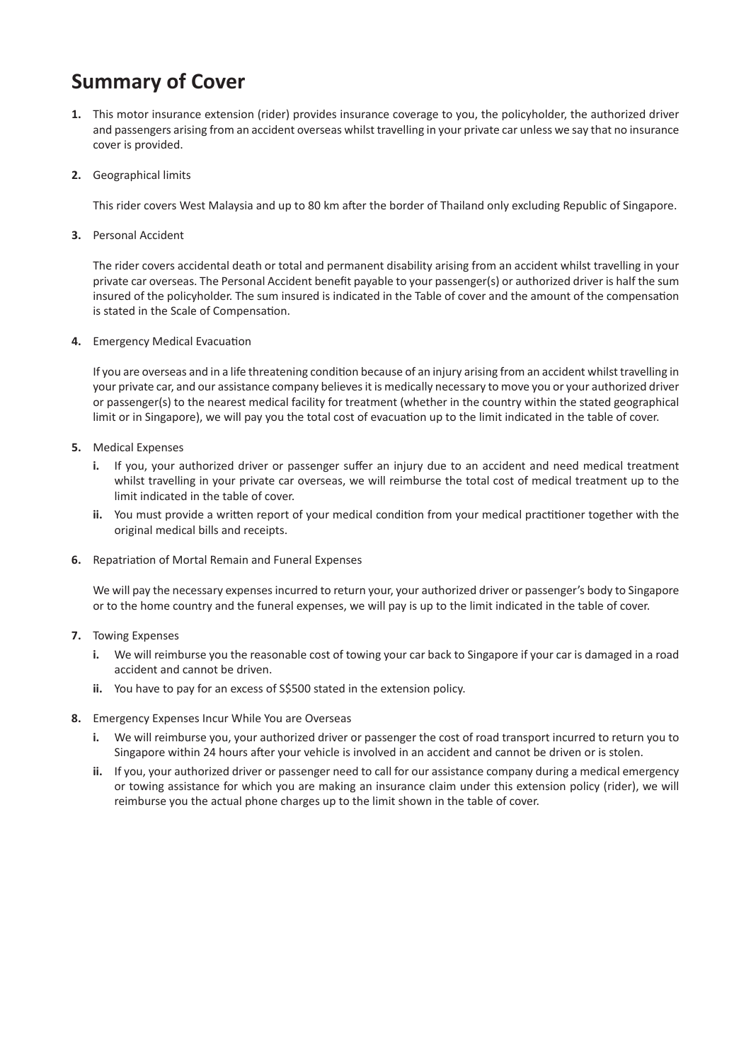# **Summary of Cover**

- **1.** This motor insurance extension (rider) provides insurance coverage to you, the policyholder, the authorized driver and passengers arising from an accident overseas whilst travelling in your private car unless we say that no insurance cover is provided.
- **2.** Geographical limits

This rider covers West Malaysia and up to 80 km after the border of Thailand only excluding Republic of Singapore.

**3.** Personal Accident

The rider covers accidental death or total and permanent disability arising from an accident whilst travelling in your private car overseas. The Personal Accident benefit payable to your passenger(s) or authorized driver is half the sum insured of the policyholder. The sum insured is indicated in the Table of cover and the amount of the compensation is stated in the Scale of Compensation.

**4.** Emergency Medical Evacuation

If you are overseas and in a life threatening condition because of an injury arising from an accident whilst travelling in your private car, and our assistance company believes it is medically necessary to move you or your authorized driver or passenger(s) to the nearest medical facility for treatment (whether in the country within the stated geographical limit or in Singapore), we will pay you the total cost of evacuation up to the limit indicated in the table of cover.

- **5.** Medical Expenses
	- **i.** If you, your authorized driver or passenger suffer an injury due to an accident and need medical treatment whilst travelling in your private car overseas, we will reimburse the total cost of medical treatment up to the limit indicated in the table of cover.
	- **ii.** You must provide a written report of your medical condition from your medical practitioner together with the original medical bills and receipts.
- **6.** Repatriation of Mortal Remain and Funeral Expenses

We will pay the necessary expenses incurred to return your, your authorized driver or passenger's body to Singapore or to the home country and the funeral expenses, we will pay is up to the limit indicated in the table of cover.

- **7.** Towing Expenses
	- **i.** We will reimburse you the reasonable cost of towing your car back to Singapore if your car is damaged in a road accident and cannot be driven.
	- ii. You have to pay for an excess of S\$500 stated in the extension policy.
- **8.** Emergency Expenses Incur While You are Overseas
	- **i.** We will reimburse you, your authorized driver or passenger the cost of road transport incurred to return you to Singapore within 24 hours after your vehicle is involved in an accident and cannot be driven or is stolen.
	- **ii.** If you, your authorized driver or passenger need to call for our assistance company during a medical emergency or towing assistance for which you are making an insurance claim under this extension policy (rider), we will reimburse you the actual phone charges up to the limit shown in the table of cover.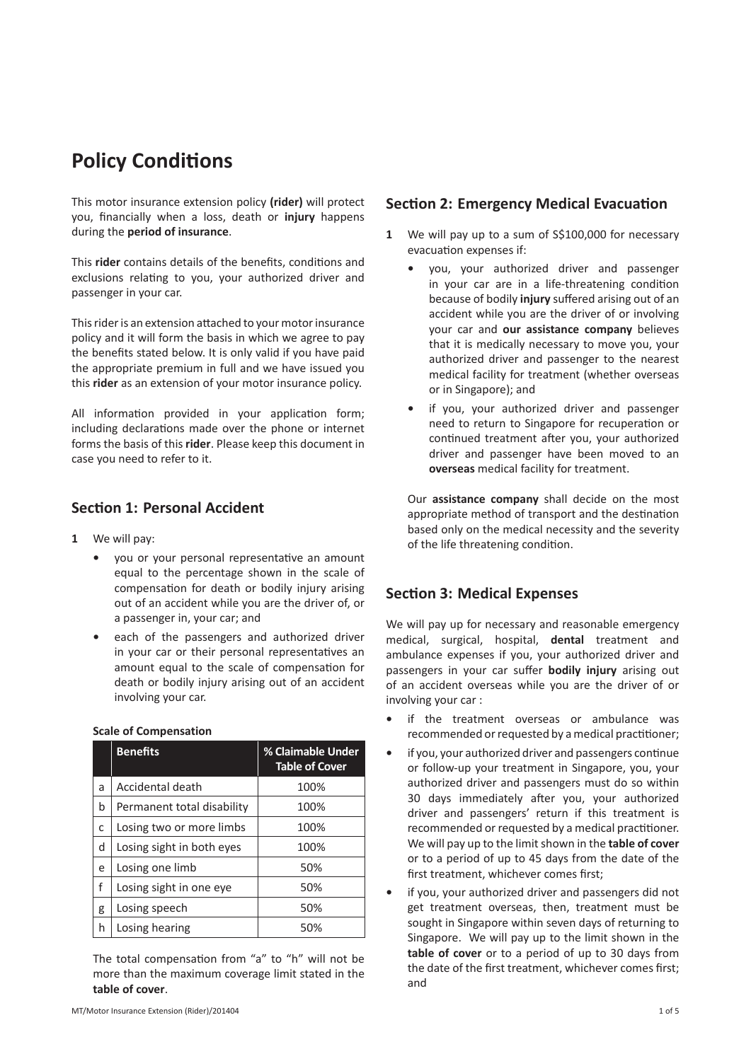# **Policy Conditions**

This motor insurance extension policy **(rider)** will protect you, financially when a loss, death or **injury** happens during the **period of insurance**.

This **rider** contains details of the benefits, conditions and exclusions relating to you, your authorized driver and passenger in your car.

This rider is an extension attached to your motor insurance policy and it will form the basis in which we agree to pay the benefits stated below. It is only valid if you have paid the appropriate premium in full and we have issued you this **rider** as an extension of your motor insurance policy.

All information provided in your application form; including declarations made over the phone or internet forms the basis of this **rider**. Please keep this document in case you need to refer to it.

## **Section 1: Personal Accident**

- **1** We will pay:
	- **•** you or your personal representative an amount equal to the percentage shown in the scale of compensation for death or bodily injury arising out of an accident while you are the driver of, or a passenger in, your car; and
	- **•** each of the passengers and authorized driver in your car or their personal representatives an amount equal to the scale of compensation for death or bodily injury arising out of an accident involving your car.

|   | <b>Benefits</b>            | % Claimable Under<br><b>Table of Cover</b> |
|---|----------------------------|--------------------------------------------|
| a | Accidental death           | 100%                                       |
| b | Permanent total disability | 100%                                       |
| C | Losing two or more limbs   | 100%                                       |
| d | Losing sight in both eyes  | 100%                                       |
| e | Losing one limb            | 50%                                        |
| f | Losing sight in one eye    | 50%                                        |
| g | Losing speech              | 50%                                        |
| h | Losing hearing             | 50%                                        |

### **Scale of Compensation**

The total compensation from "a" to "h" will not be more than the maximum coverage limit stated in the **table of cover**.

### **Section 2: Emergency Medical Evacuation**

- **1** We will pay up to a sum of S\$100,000 for necessary evacuation expenses if:
	- **•** you, your authorized driver and passenger in your car are in a life-threatening condition because of bodily **injury** suffered arising out of an accident while you are the driver of or involving your car and **our assistance company** believes that it is medically necessary to move you, your authorized driver and passenger to the nearest medical facility for treatment (whether overseas or in Singapore); and
	- **•** if you, your authorized driver and passenger need to return to Singapore for recuperation or continued treatment after you, your authorized driver and passenger have been moved to an **overseas** medical facility for treatment.

Our **assistance company** shall decide on the most appropriate method of transport and the destination based only on the medical necessity and the severity of the life threatening condition.

## **Section 3: Medical Expenses**

We will pay up for necessary and reasonable emergency medical, surgical, hospital, **dental** treatment and ambulance expenses if you, your authorized driver and passengers in your car suffer **bodily injury** arising out of an accident overseas while you are the driver of or involving your car :

- **•** if the treatment overseas or ambulance was recommended or requested by a medical practitioner;
- **•** if you, your authorized driver and passengers continue or follow-up your treatment in Singapore, you, your authorized driver and passengers must do so within 30 days immediately after you, your authorized driver and passengers' return if this treatment is recommended or requested by a medical practitioner. We will pay up to the limit shown in the **table of cover** or to a period of up to 45 days from the date of the first treatment, whichever comes first;
- **•** if you, your authorized driver and passengers did not get treatment overseas, then, treatment must be sought in Singapore within seven days of returning to Singapore. We will pay up to the limit shown in the **table of cover** or to a period of up to 30 days from the date of the first treatment, whichever comes first; and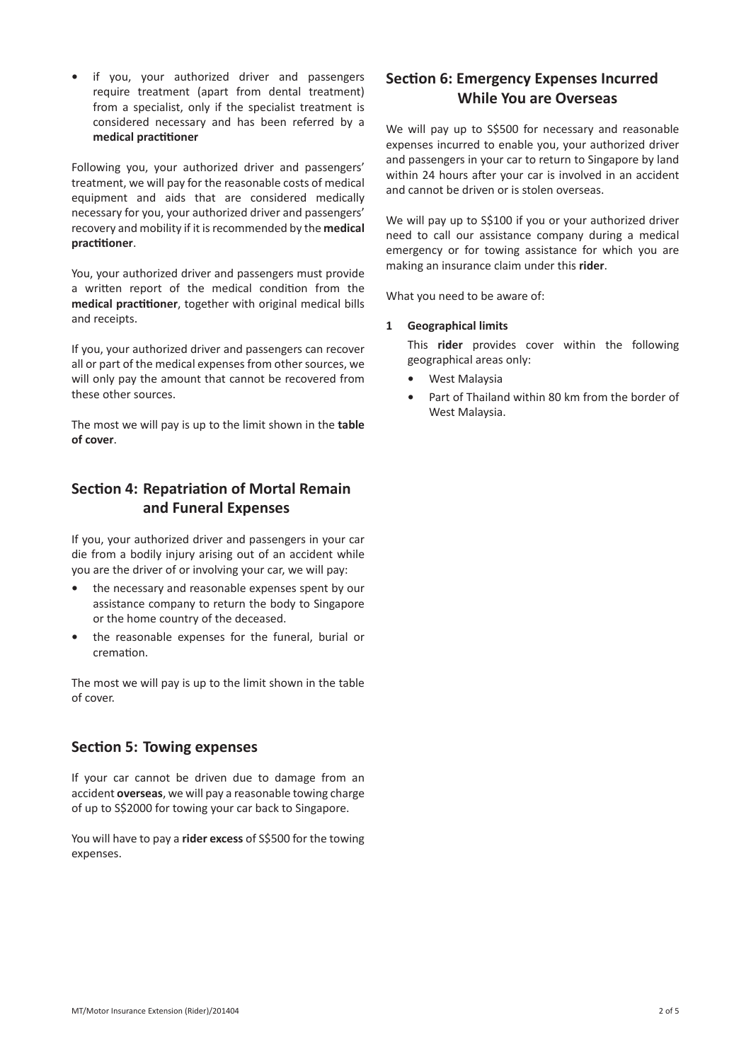**•** if you, your authorized driver and passengers require treatment (apart from dental treatment) from a specialist, only if the specialist treatment is considered necessary and has been referred by a **medical practitioner**

Following you, your authorized driver and passengers' treatment, we will pay for the reasonable costs of medical equipment and aids that are considered medically necessary for you, your authorized driver and passengers' recovery and mobility if it is recommended by the **medical practitioner**.

You, your authorized driver and passengers must provide a written report of the medical condition from the **medical practitioner**, together with original medical bills and receipts.

If you, your authorized driver and passengers can recover all or part of the medical expenses from other sources, we will only pay the amount that cannot be recovered from these other sources.

The most we will pay is up to the limit shown in the **table of cover**.

# **Section 4: Repatriation of Mortal Remain and Funeral Expenses**

If you, your authorized driver and passengers in your car die from a bodily injury arising out of an accident while you are the driver of or involving your car, we will pay:

- **•** the necessary and reasonable expenses spent by our assistance company to return the body to Singapore or the home country of the deceased.
- **•** the reasonable expenses for the funeral, burial or cremation.

The most we will pay is up to the limit shown in the table of cover.

## **Section 5: Towing expenses**

If your car cannot be driven due to damage from an accident **overseas**, we will pay a reasonable towing charge of up to S\$2000 for towing your car back to Singapore.

You will have to pay a **rider excess** of S\$500 for the towing expenses.

# **Section 6: Emergency Expenses Incurred While You are Overseas**

We will pay up to S\$500 for necessary and reasonable expenses incurred to enable you, your authorized driver and passengers in your car to return to Singapore by land within 24 hours after your car is involved in an accident and cannot be driven or is stolen overseas.

We will pay up to S\$100 if you or your authorized driver need to call our assistance company during a medical emergency or for towing assistance for which you are making an insurance claim under this **rider**.

What you need to be aware of:

### **1 Geographical limits**

This **rider** provides cover within the following geographical areas only:

- **•** West Malaysia
- **•** Part of Thailand within 80 km from the border of West Malaysia.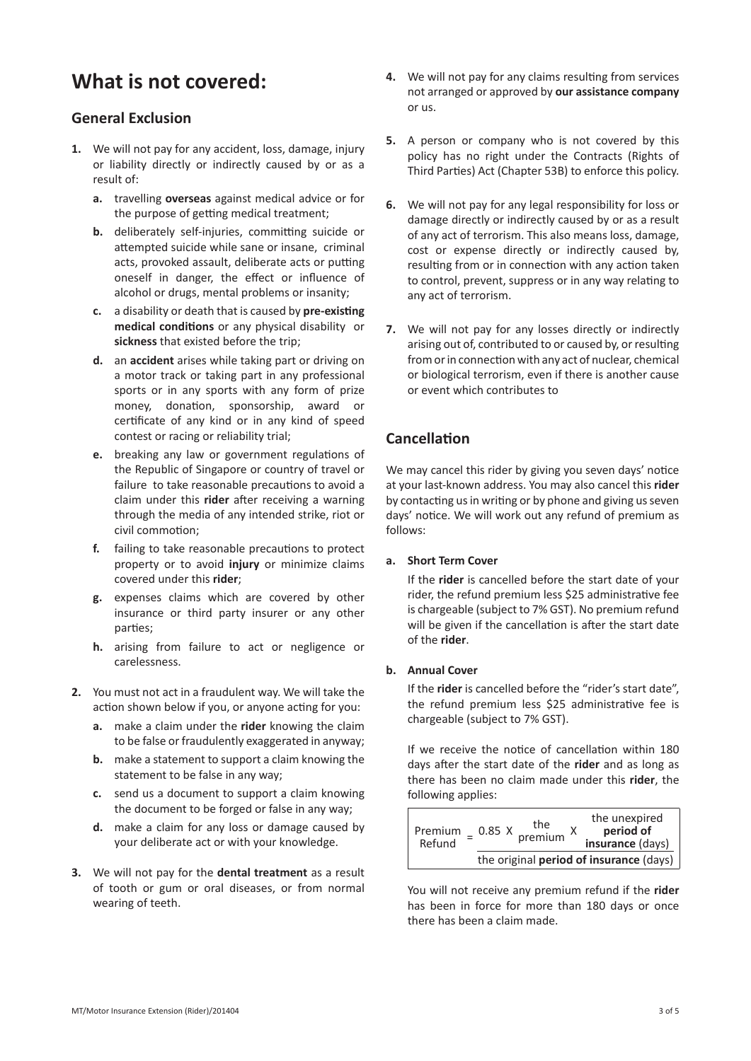# **What is not covered:**

## **General Exclusion**

- **1.** We will not pay for any accident, loss, damage, injury or liability directly or indirectly caused by or as a result of:
	- **a.** travelling **overseas** against medical advice or for the purpose of getting medical treatment;
	- **b.** deliberately self-injuries, committing suicide or attempted suicide while sane or insane, criminal acts, provoked assault, deliberate acts or putting oneself in danger, the effect or influence of alcohol or drugs, mental problems or insanity;
	- **c.** a disability or death that is caused by **pre-existing medical conditions** or any physical disability or **sickness** that existed before the trip;
	- **d.** an **accident** arises while taking part or driving on a motor track or taking part in any professional sports or in any sports with any form of prize money, donation, sponsorship, award or certificate of any kind or in any kind of speed contest or racing or reliability trial;
	- **e.** breaking any law or government regulations of the Republic of Singapore or country of travel or failure to take reasonable precautions to avoid a claim under this **rider** after receiving a warning through the media of any intended strike, riot or civil commotion;
	- **f.** failing to take reasonable precautions to protect property or to avoid **injury** or minimize claims covered under this **rider**;
	- **g.** expenses claims which are covered by other insurance or third party insurer or any other parties;
	- **h.** arising from failure to act or negligence or carelessness.
- **2.** You must not act in a fraudulent way. We will take the action shown below if you, or anyone acting for you:
	- **a.** make a claim under the **rider** knowing the claim to be false or fraudulently exaggerated in anyway;
	- **b.** make a statement to support a claim knowing the statement to be false in any way;
	- **c.** send us a document to support a claim knowing the document to be forged or false in any way;
	- **d.** make a claim for any loss or damage caused by your deliberate act or with your knowledge.
- **3.** We will not pay for the **dental treatment** as a result of tooth or gum or oral diseases, or from normal wearing of teeth.
- **4.** We will not pay for any claims resulting from services not arranged or approved by **our assistance company** or us.
- **5.** A person or company who is not covered by this policy has no right under the Contracts (Rights of Third Parties) Act (Chapter 53B) to enforce this policy.
- **6.** We will not pay for any legal responsibility for loss or damage directly or indirectly caused by or as a result of any act of terrorism. This also means loss, damage, cost or expense directly or indirectly caused by, resulting from or in connection with any action taken to control, prevent, suppress or in any way relating to any act of terrorism.
- **7.** We will not pay for any losses directly or indirectly arising out of, contributed to or caused by, or resulting from or in connection with any act of nuclear, chemical or biological terrorism, even if there is another cause or event which contributes to

## **Cancellation**

We may cancel this rider by giving you seven days' notice at your last-known address. You may also cancel this **rider** by contacting us in writing or by phone and giving us seven days' notice. We will work out any refund of premium as follows:

### **a. Short Term Cover**

If the **rider** is cancelled before the start date of your rider, the refund premium less \$25 administrative fee is chargeable (subject to 7% GST). No premium refund will be given if the cancellation is after the start date of the **rider**.

### **b. Annual Cover**

If the **rider** is cancelled before the "rider's start date", the refund premium less \$25 administrative fee is chargeable (subject to 7% GST).

If we receive the notice of cancellation within 180 days after the start date of the **rider** and as long as there has been no claim made under this **rider**, the following applies:

| Premium<br>Refund                              | 0.85 X | the<br>premium <sup>X</sup> |  | the unexpired<br>period of<br>insurance (days) |
|------------------------------------------------|--------|-----------------------------|--|------------------------------------------------|
| the original <b>period of insurance</b> (days) |        |                             |  |                                                |

You will not receive any premium refund if the **rider** has been in force for more than 180 days or once there has been a claim made.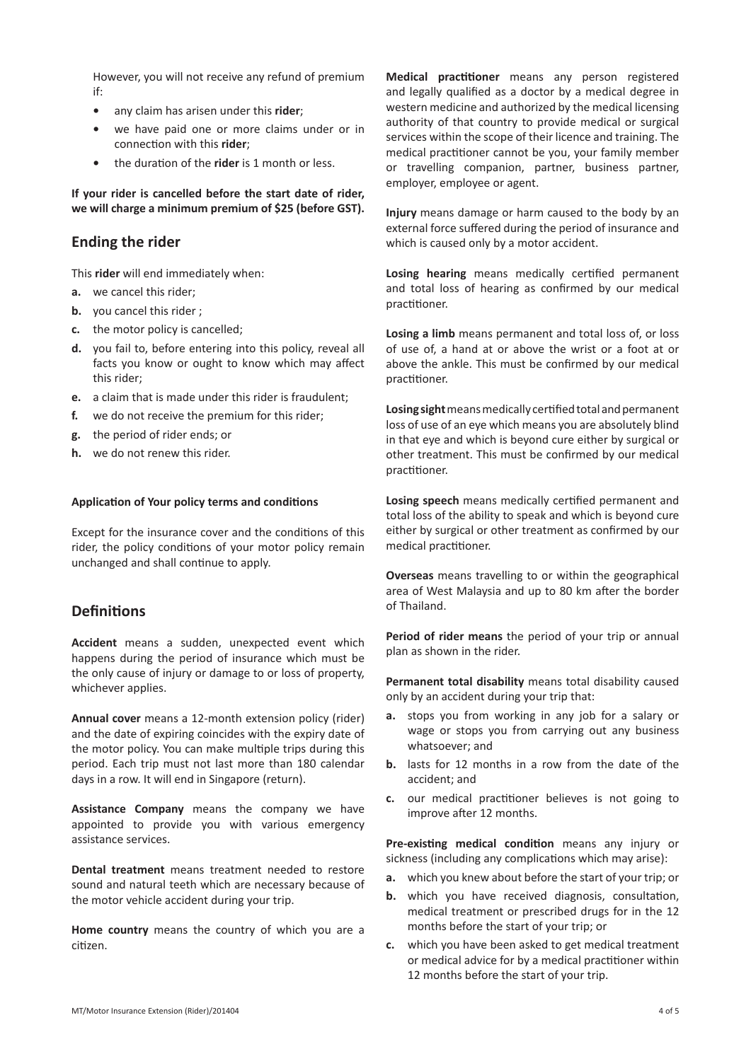However, you will not receive any refund of premium if:

- **•** any claim has arisen under this **rider**;
- **•** we have paid one or more claims under or in connection with this **rider**;
- **•** the duration of the **rider** is 1 month or less.

**If your rider is cancelled before the start date of rider, we will charge a minimum premium of \$25 (before GST).** 

## **Ending the rider**

This **rider** will end immediately when:

- **a.** we cancel this rider;
- **b.** you cancel this rider ;
- **c.** the motor policy is cancelled;
- **d.** you fail to, before entering into this policy, reveal all facts you know or ought to know which may affect this rider;
- **e.** a claim that is made under this rider is fraudulent;
- **f.** we do not receive the premium for this rider;
- **g.** the period of rider ends; or
- **h.** we do not renew this rider.

#### **Application of Your policy terms and conditions**

Except for the insurance cover and the conditions of this rider, the policy conditions of your motor policy remain unchanged and shall continue to apply.

## **Definitions**

**Accident** means a sudden, unexpected event which happens during the period of insurance which must be the only cause of injury or damage to or loss of property, whichever applies.

**Annual cover** means a 12-month extension policy (rider) and the date of expiring coincides with the expiry date of the motor policy. You can make multiple trips during this period. Each trip must not last more than 180 calendar days in a row. It will end in Singapore (return).

**Assistance Company** means the company we have appointed to provide you with various emergency assistance services.

**Dental treatment** means treatment needed to restore sound and natural teeth which are necessary because of the motor vehicle accident during your trip.

**Home country** means the country of which you are a citizen.

**Medical practitioner** means any person registered and legally qualified as a doctor by a medical degree in western medicine and authorized by the medical licensing authority of that country to provide medical or surgical services within the scope of their licence and training. The medical practitioner cannot be you, your family member or travelling companion, partner, business partner, employer, employee or agent.

**Injury** means damage or harm caused to the body by an external force suffered during the period of insurance and which is caused only by a motor accident.

**Losing hearing** means medically certified permanent and total loss of hearing as confirmed by our medical practitioner.

**Losing a limb** means permanent and total loss of, or loss of use of, a hand at or above the wrist or a foot at or above the ankle. This must be confirmed by our medical practitioner.

**Losing sight** means medically certified total and permanent loss of use of an eye which means you are absolutely blind in that eye and which is beyond cure either by surgical or other treatment. This must be confirmed by our medical practitioner.

**Losing speech** means medically certified permanent and total loss of the ability to speak and which is beyond cure either by surgical or other treatment as confirmed by our medical practitioner.

**Overseas** means travelling to or within the geographical area of West Malaysia and up to 80 km after the border of Thailand.

**Period of rider means** the period of your trip or annual plan as shown in the rider.

**Permanent total disability** means total disability caused only by an accident during your trip that:

- **a.** stops you from working in any job for a salary or wage or stops you from carrying out any business whatsoever; and
- **b.** lasts for 12 months in a row from the date of the accident; and
- **c.** our medical practitioner believes is not going to improve after 12 months.

**Pre-existing medical condition** means any injury or sickness (including any complications which may arise):

- **a.** which you knew about before the start of your trip; or
- **b.** which you have received diagnosis, consultation, medical treatment or prescribed drugs for in the 12 months before the start of your trip; or
- **c.** which you have been asked to get medical treatment or medical advice for by a medical practitioner within 12 months before the start of your trip.